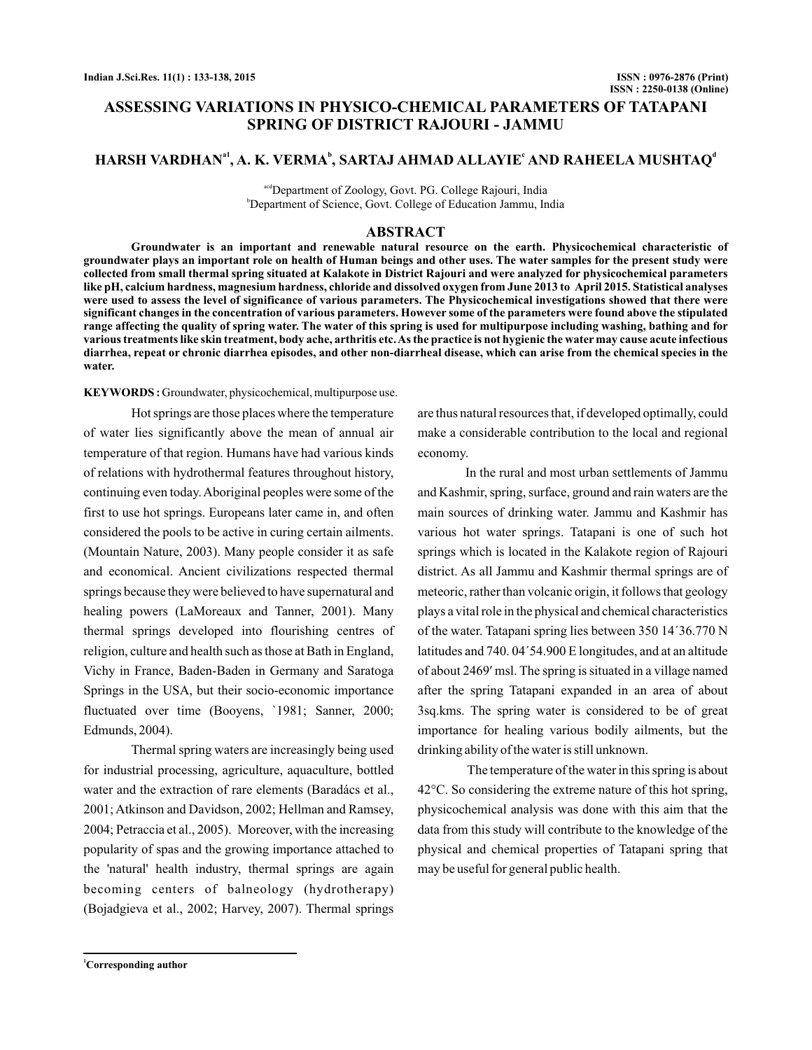# **ASSESSING VARIATIONS IN PHYSICO-CHEMICAL PARAMETERS OF TATAPANI SPRING OF DISTRICT RAJOURI - JAMMU**

# $HARSH$  VARDHAN<sup>a1</sup>, A. K. VERMA<sup>b</sup>, SARTAJ AHMAD ALLAYIE<sup>c</sup> AND RAHEELA MUSHTAQ<sup>a</sup>

acdDepartment of Zoology, Govt. PG. College Rajouri, India b Department of Science, Govt. College of Education Jammu, India

#### **ABSTRACT**

**Groundwater is an important and renewable natural resource on the earth. Physicochemical characteristic of groundwater plays an important role on health of Human beings and other uses. The water samples for the present study were collected from small thermal spring situated at Kalakote in District Rajouri and were analyzed for physicochemical parameters like pH, calcium hardness, magnesium hardness, chloride and dissolved oxygen from June 2013 to April 2015. Statistical analyses were used to assess the level of significance of various parameters. The Physicochemical investigations showed that there were significant changes in the concentration of various parameters. However some of the parameters were found above the stipulated range affecting the quality of spring water. The water of this spring is used for multipurpose including washing, bathing and for various treatments like skin treatment, body ache, arthritis etc.As the practice is not hygienic the water may cause acute infectious diarrhea, repeat or chronic diarrhea episodes, and other non-diarrheal disease, which can arise from the chemical species in the water.**

**KEYWORDS :** Groundwater, physicochemical, multipurpose use.

Hot springs are those places where the temperature of water lies significantly above the mean of annual air temperature of that region. Humans have had various kinds of relations with hydrothermal features throughout history, continuing even today.Aboriginal peoples were some of the first to use hot springs. Europeans later came in, and often considered the pools to be active in curing certain ailments. (Mountain Nature, 2003). Many people consider it as safe and economical. Ancient civilizations respected thermal springs because they were believed to have supernatural and healing powers (LaMoreaux and Tanner, 2001). Many thermal springs developed into flourishing centres of religion, culture and health such as those at Bath in England, Vichy in France, Baden-Baden in Germany and Saratoga Springs in the USA, but their socio-economic importance fluctuated over time (Booyens, `1981; Sanner, 2000; Edmunds, 2004).

Thermal spring waters are increasingly being used for industrial processing, agriculture, aquaculture, bottled water and the extraction of rare elements (Baradács et al., 2001; Atkinson and Davidson, 2002; Hellman and Ramsey, 2004; Petraccia et al., 2005). Moreover, with the increasing popularity of spas and the growing importance attached to the 'natural' health industry, thermal springs are again becoming centers of balneology (hydrotherapy) (Bojadgieva et al., 2002; Harvey, 2007). Thermal springs

are thus natural resources that, if developed optimally, could make a considerable contribution to the local and regional economy.

In the rural and most urban settlements of Jammu and Kashmir, spring, surface, ground and rain waters are the main sources of drinking water. Jammu and Kashmir has various hot water springs. Tatapani is one of such hot springs which is located in the Kalakote region of Rajouri district. As all Jammu and Kashmir thermal springs are of meteoric, rather than volcanic origin, it follows that geology plays a vital role in the physical and chemical characteristics of the water. Tatapani spring lies between 350 14´36.770 N latitudes and 740. 04´54.900 E longitudes, and at an altitude of about 2469' msl. The spring is situated in a village named after the spring Tatapani expanded in an area of about 3sq.kms. The spring water is considered to be of great importance for healing various bodily ailments, but the drinking ability of the water is still unknown.

The temperature of the water in this spring is about 42°C. So considering the extreme nature of this hot spring, physicochemical analysis was done with this aim that the data from this study will contribute to the knowledge of the physical and chemical properties of Tatapani spring that may be useful for general public health.

**<sup>1</sup>Corresponding author**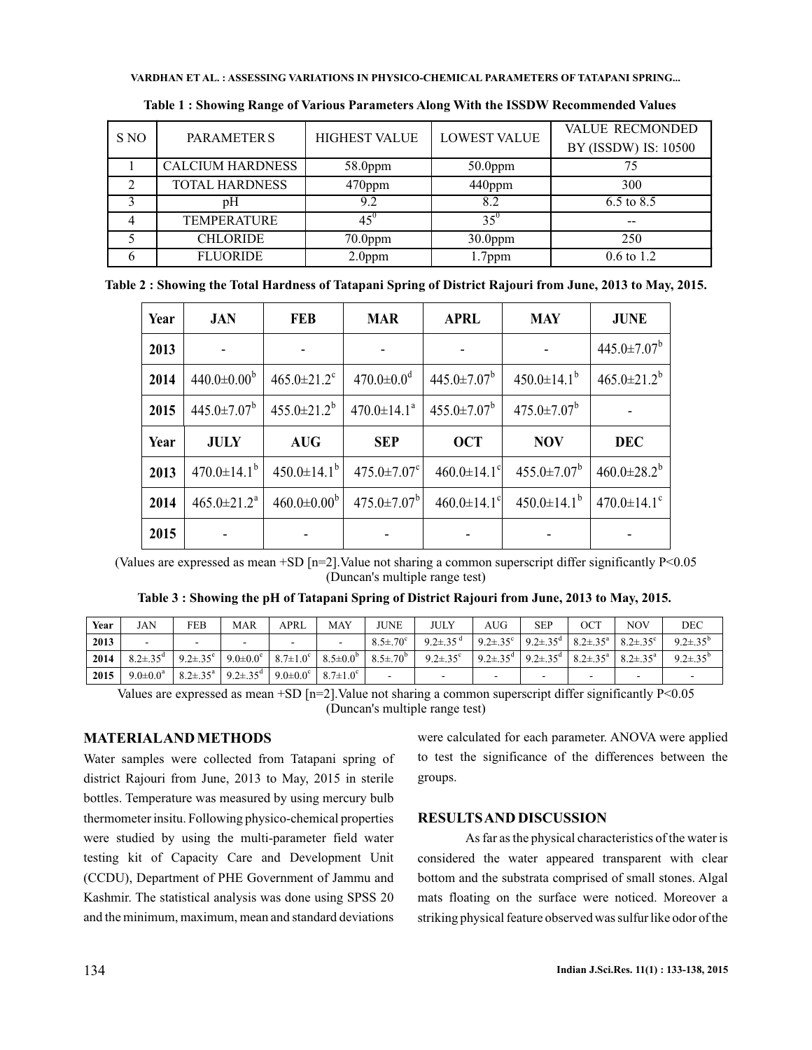| S NO | <b>PARAMETERS</b>       | <b>HIGHEST VALUE</b> | <b>LOWEST VALUE</b> | <b>VALUE RECMONDED</b> |  |  |
|------|-------------------------|----------------------|---------------------|------------------------|--|--|
|      |                         |                      |                     | BY (ISSDW) IS: 10500   |  |  |
|      | <b>CALCIUM HARDNESS</b> | $58.0$ ppm           | $50.0$ ppm          |                        |  |  |
| ↑    | <b>TOTAL HARDNESS</b>   | $470$ ppm            | 440ppm              | 300                    |  |  |
|      | рH                      | 9.2                  | 8.2                 | 6.5 to $8.5$           |  |  |
|      | <b>TEMPERATURE</b>      | $45^{\circ}$         | $35^{\circ}$        | $- -$                  |  |  |
|      | <b>CHLORIDE</b>         | $70.0$ ppm           | $30.0$ ppm          | 250                    |  |  |
|      | <b>FLUORIDE</b>         | $2.0$ ppm            | $1.7$ ppm           | $0.6 \text{ to } 1.2$  |  |  |

**Table 1 : Showing Range of Various Parameters Along With the ISSDW Recommended Values**

| Table 2 : Showing the Total Hardness of Tatapani Spring of District Rajouri from June, 2013 to May, 2015. |  |  |
|-----------------------------------------------------------------------------------------------------------|--|--|
|                                                                                                           |  |  |

| Year | <b>JAN</b>                    | <b>FEB</b>                    | <b>MAR</b>                    | <b>APRL</b>                   | <b>MAY</b>                    | <b>JUNE</b>                   |
|------|-------------------------------|-------------------------------|-------------------------------|-------------------------------|-------------------------------|-------------------------------|
| 2013 |                               |                               |                               |                               |                               | $445.0 \pm 7.07^b$            |
| 2014 | $440.0 \pm 0.00^{\circ}$      | $465.0 \pm 21.2$ <sup>c</sup> | $470.0 \pm 0.0$ <sup>d</sup>  | $445.0 \pm 7.07^b$            | $450.0 \pm 14.1^{\circ}$      | $465.0 \pm 21.2^b$            |
| 2015 | $445.0 \pm 7.07^b$            | $455.0 \pm 21.2^b$            | $470.0 \pm 14.1^a$            | $455.0 \pm 7.07^b$            | $475.0 \pm 7.07^b$            |                               |
| Year | <b>JULY</b>                   | <b>AUG</b>                    | <b>SEP</b>                    | <b>OCT</b>                    | <b>NOV</b>                    | <b>DEC</b>                    |
| 2013 | $470.0 \pm 14.1^{\mathrm{b}}$ | $450.0 \pm 14.1^{\rm b}$      | $475.0 \pm 7.07$ <sup>c</sup> | 460.0 $\pm$ 14.1°             | $455.0 \pm 7.07^b$            | $460.0 \pm 28.2^b$            |
| 2014 | $465.0 \pm 21.2^a$            | $460.0 \pm 0.00^{\rm b}$      | $475.0 \pm 7.07^{\rm b}$      | $460.0 \pm 14.1$ <sup>c</sup> | $450.0 \pm 14.1^{\mathrm{b}}$ | $470.0 \pm 14.1$ <sup>c</sup> |
| 2015 |                               |                               |                               |                               |                               |                               |

(Values are expressed as mean +SD  $[n=2]$ . Value not sharing a common superscript differ significantly P<0.05 (Duncan's multiple range test)

**Table 3 : Showing the pH of Tatapani Spring of District Rajouri from June, 2013 to May, 2015.**

| Year | JAN                        | FEB                        | MAR                                           | APRI                                                                                 | <b>MAY</b> | JUNE                 | JULY                     | AUG                                                                                       | SEP                                                                                                    | ОСТ | <b>NOV</b> | DEC             |
|------|----------------------------|----------------------------|-----------------------------------------------|--------------------------------------------------------------------------------------|------------|----------------------|--------------------------|-------------------------------------------------------------------------------------------|--------------------------------------------------------------------------------------------------------|-----|------------|-----------------|
| 2013 |                            |                            |                                               | $\overline{\phantom{a}}$                                                             |            | $8.5 \pm 70^{\circ}$ | 9.2 $\pm$ .35 $^{\circ}$ |                                                                                           | $9.2 \pm .35$ °   $9.2 \pm .35$ <sup>d</sup>   $8.2 \pm .35$ <sup>a</sup>   $8.2 \pm .35$ <sup>c</sup> |     |            | $92+35^{\circ}$ |
| 2014 | $8.2 \pm .35$ <sup>d</sup> | $9.2 \pm .35$ <sup>e</sup> |                                               | 9.0 $\pm$ 0.0 <sup>c</sup>   8.7 $\pm$ 1.0 <sup>c</sup>   8.5 $\pm$ 0.0 <sup>b</sup> |            | $8.5 \pm .70^{6}$    | $9.2 \pm .35$ °          | $9.2 \pm 35^{\circ}$   $9.2 \pm 35^{\circ}$   $8.2 \pm 35^{\circ}$   $8.2 \pm 35^{\circ}$ |                                                                                                        |     |            | $9.2 + 35^{b}$  |
| 2015 | $9.0 \pm 0.0^a$            |                            | $8.2 \pm .35^{\rm a}$   9.2 $\pm .35^{\rm d}$ | $9.0 \pm 0.0^{\circ}$   8.7 $\pm 1.0^{\circ}$                                        |            |                      |                          |                                                                                           |                                                                                                        |     |            |                 |

Values are expressed as mean +SD  $[n=2]$ . Value not sharing a common superscript differ significantly P<0.05 (Duncan's multiple range test)

### **MATERIALAND METHODS**

Water samples were collected from Tatapani spring of district Rajouri from June, 2013 to May, 2015 in sterile bottles. Temperature was measured by using mercury bulb thermometer insitu. Following physico-chemical properties were studied by using the multi-parameter field water testing kit of Capacity Care and Development Unit (CCDU), Department of PHE Government of Jammu and Kashmir. The statistical analysis was done using SPSS 20 and the minimum, maximum, mean and standard deviations

were calculated for each parameter. ANOVA were applied to test the significance of the differences between the groups.

## **RESULTSAND DISCUSSION**

As far as the physical characteristics of the water is considered the water appeared transparent with clear bottom and the substrata comprised of small stones. Algal mats floating on the surface were noticed. Moreover a striking physical feature observed was sulfur like odor of the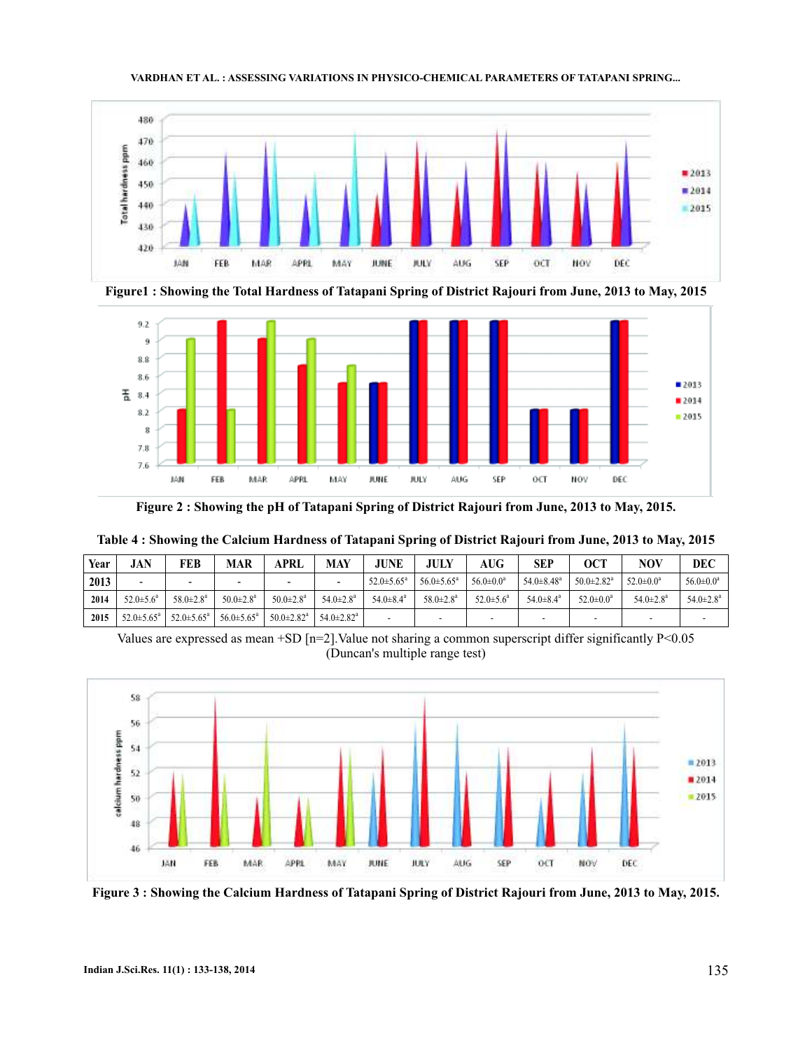

**Figure1 : Showing the Total Hardness of Tatapani Spring of District Rajouri from June, 2013 to May, 2015**



**Figure 2 : Showing the pH of Tatapani Spring of District Rajouri from June, 2013 to May, 2015.**

| Year | JAN                        | FEB                         | <b>MAR</b>                  | APRL                         | <b>MAY</b>                   | <b>JUNE</b>             | <b>JULY</b>                | <b>AUG</b>             | <b>SEP</b>                   | <b>OCT</b>                   | NOV                         | <b>DEC</b>             |
|------|----------------------------|-----------------------------|-----------------------------|------------------------------|------------------------------|-------------------------|----------------------------|------------------------|------------------------------|------------------------------|-----------------------------|------------------------|
| 2013 | -                          | $\overline{\phantom{0}}$    | -                           | -                            |                              | $52.0 \pm 5.65^{\circ}$ | $56.0 \pm 5.65^{\text{a}}$ | $56.0 \pm 0.0^a$       | $54.0 \pm 8.48$ <sup>a</sup> | $50.0 \pm 2.82$ <sup>a</sup> | $52.0 \pm 0.0^a$            | $56.0 \pm 0.0^a$       |
| 2014 | $52.0 \pm 5.6^{\circ}$     | $58.0 \pm 2.8^{\mathrm{a}}$ | $50.0 \pm 2.8^{\mathrm{a}}$ | $50.0 \pm 2.8^{\circ}$       | $54.0 \pm 2.8^{\mathrm{a}}$  | $54.0 \pm 8.4^{\circ}$  | $58.0 \pm 2.8^{\circ}$     | $52.0 \pm 5.6^{\circ}$ | $54.0 \pm 8.4^{\circ}$       | $52.0 \pm 0.0^a$             | $54.0 \pm 2.8^{\mathrm{a}}$ | $54.0 \pm 2.8^{\circ}$ |
| 2015 | $52.0 \pm 5.65^{\text{a}}$ | $52.0 \pm 5.65^{\circ}$     | $56.0 \pm 5.65^{\circ}$     | $50.0 \pm 2.82$ <sup>a</sup> | $54.0 \pm 2.82$ <sup>a</sup> |                         | -                          | -                      | -                            | -                            |                             |                        |

**Table 4 : Showing the Calcium Hardness of Tatapani Spring of District Rajouri from June, 2013 to May, 2015**

Values are expressed as mean +SD [n=2]. Value not sharing a common superscript differ significantly  $P<0.05$ (Duncan's multiple range test)



**Figure 3 : Showing the Calcium Hardness of Tatapani Spring of District Rajouri from June, 2013 to May, 2015.**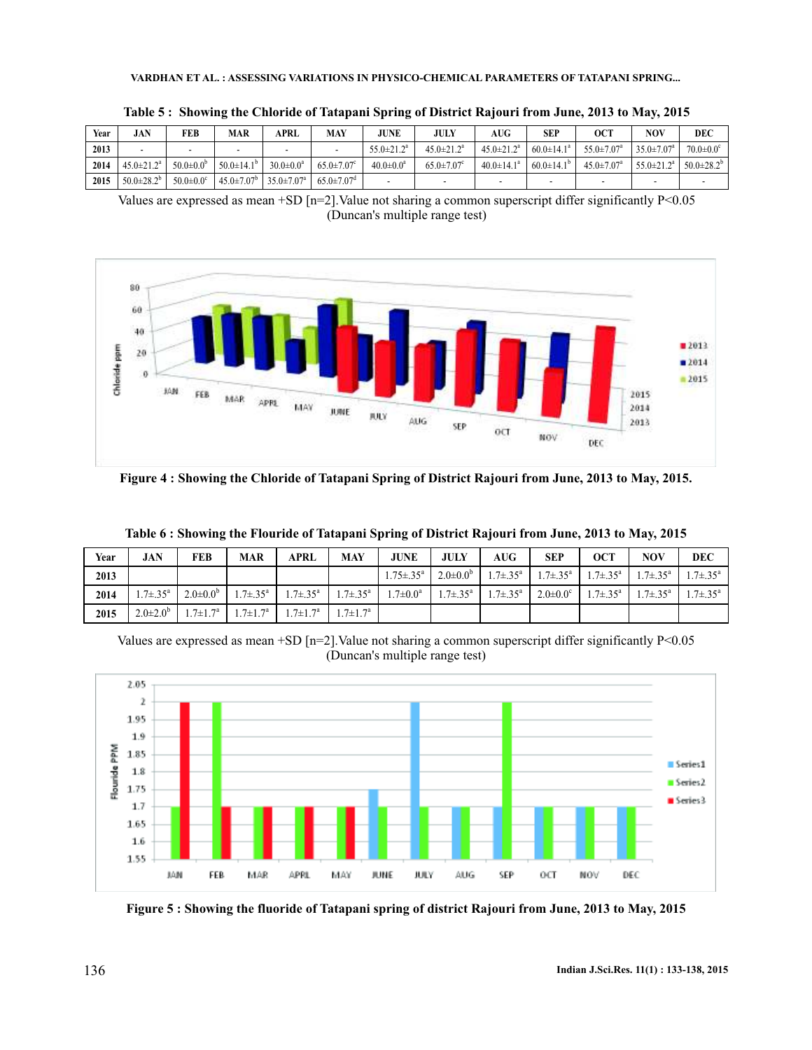| Year | <b>JAN</b>        | FEB                         | MAR                          | APRL                         | MAY                          | <b>JUNE</b>             | JULY                         | AUG               | SEP                     | OCT                          | NOV                          | DEC                         |
|------|-------------------|-----------------------------|------------------------------|------------------------------|------------------------------|-------------------------|------------------------------|-------------------|-------------------------|------------------------------|------------------------------|-----------------------------|
| 2013 | -                 |                             |                              |                              |                              | $55.0 \pm 21.2^{\circ}$ | $45.0 \pm 21.2^a$            | $45.0 \pm 21.2^a$ | $60.0 \pm 14.1^{\circ}$ | $55.0 \pm 7.07^a$            | $35.0 \pm 7.07$ <sup>a</sup> | $70.0 \pm 0.0$ <sup>c</sup> |
| 2014 | $45.0 \pm 21.2^a$ | $50.0 \pm 0.0^{\circ}$      | $50.0 \pm 14.1^{\circ}$      | $30.0 \pm 0.0^a$             | $65.0 \pm 7.07$ <sup>c</sup> | $40.0 \pm 0.0^a$        | $65.0 \pm 7.07$ <sup>c</sup> | $40.0 \pm 14.1^a$ | $60.0 \pm 14.1^{\circ}$ | $45.0 \pm 7.07$ <sup>a</sup> | $55.0 \pm 21.2^a$            | $50.0 \pm 28.2^{\circ}$     |
| 2015 | $50.0 \pm 28.2^b$ | $50.0 \pm 0.0$ <sup>c</sup> | $45.0 \pm 7.07$ <sup>b</sup> | $35.0 \pm 7.07$ <sup>a</sup> | $65.0 \pm 7.07$ <sup>d</sup> |                         |                              |                   |                         |                              |                              |                             |

**Table 5 : Showing the Chloride of Tatapani Spring of District Rajouri from June, 2013 to May, 2015**

Values are expressed as mean +SD  $[n=2]$ . Value not sharing a common superscript differ significantly P<0.05 (Duncan's multiple range test)



**Figure 4 : Showing the Chloride of Tatapani Spring of District Rajouri from June, 2013 to May, 2015.**

| Year | <b>JAN</b>               | FEB                   | <b>MAR</b>            | APRL                  | <b>MAY</b>           | <b>JUNE</b>               | <b>JULY</b>           | $A\overline{U}G$      | <b>SEP</b>                 | <b>OCT</b>                 | <b>NOV</b>               | <b>DEC</b>            |
|------|--------------------------|-----------------------|-----------------------|-----------------------|----------------------|---------------------------|-----------------------|-----------------------|----------------------------|----------------------------|--------------------------|-----------------------|
| 2013 |                          |                       |                       |                       |                      | $1.75 \pm .35^{\text{a}}$ | $2.0 \pm 0.0^{\circ}$ | $1.7 \pm .35^{\rm a}$ | $1.7 \pm .35^{\circ}$      | $1.7 \pm .35^{\rm a}$      | $1.7 \pm .35^{\circ}$    | $1.7 \pm .35^{\circ}$ |
| 2014 | $1.7 \pm .35^{\text{a}}$ | $2.0 \pm 0.0^{\circ}$ | $1.7 \pm .35^{\rm a}$ | $1.7 \pm .35^{\rm a}$ | $.7 \pm .35^{\circ}$ | .7 $\pm$ 0.0 <sup>a</sup> | $1.7 \pm .35^{\rm a}$ | $1.7 \pm .35^{\circ}$ | $2.0 \pm 0.0$ <sup>c</sup> | $1.7 \pm .35$ <sup>a</sup> | $1.7 \pm .35^{\text{a}}$ | $1.7 \pm .35^{\rm a}$ |
| 2015 | $2.0 \pm 2.0^{\circ}$    | $1.7 \pm 1.7^{\rm a}$ | $1.7 \pm 1.7^{\rm a}$ | $1.7 \pm 1.7^{\rm a}$ | $.7 \pm 1.7^{\circ}$ |                           |                       |                       |                            |                            |                          |                       |

**Table 6 : Showing the Flouride of Tatapani Spring of District Rajouri from June, 2013 to May, 2015**

Values are expressed as mean +SD [n=2]. Value not sharing a common superscript differ significantly  $P<0.05$ (Duncan's multiple range test)



**Figure 5 : Showing the fluoride of Tatapani spring of district Rajouri from June, 2013 to May, 2015**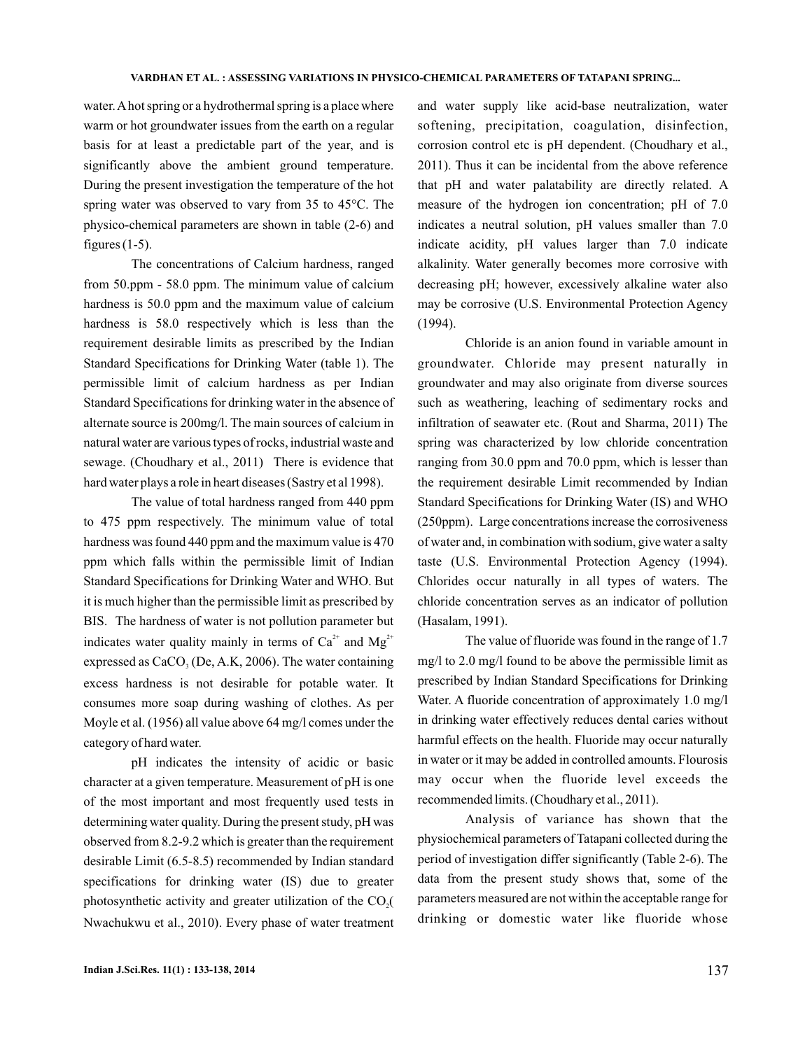water.A hot spring or a hydrothermal spring is a place where warm or hot groundwater issues from the earth on a regular basis for at least a predictable part of the year, and is significantly above the ambient ground temperature. During the present investigation the temperature of the hot spring water was observed to vary from 35 to 45°C. The physico-chemical parameters are shown in table (2-6) and figures  $(1-5)$ .

The concentrations of Calcium hardness, ranged from 50.ppm - 58.0 ppm. The minimum value of calcium hardness is 50.0 ppm and the maximum value of calcium hardness is 58.0 respectively which is less than the requirement desirable limits as prescribed by the Indian Standard Specifications for Drinking Water (table 1). The permissible limit of calcium hardness as per Indian Standard Specifications for drinking water in the absence of alternate source is 200mg/l. The main sources of calcium in natural water are various types of rocks, industrial waste and sewage. (Choudhary et al., 2011) There is evidence that hard water plays a role in heart diseases (Sastry et al 1998).

The value of total hardness ranged from 440 ppm to 475 ppm respectively. The minimum value of total hardness was found 440 ppm and the maximum value is 470 ppm which falls within the permissible limit of Indian Standard Specifications for Drinking Water and WHO. But it is much higher than the permissible limit as prescribed by BIS. The hardness of water is not pollution parameter but indicates water quality mainly in terms of  $Ca^{2+}$  and  $Mg^{2+}$ expressed as  $CaCO<sub>3</sub>$  (De, A.K, 2006). The water containing excess hardness is not desirable for potable water. It consumes more soap during washing of clothes. As per Moyle et al. (1956) all value above 64 mg/l comes under the category of hard water.

pH indicates the intensity of acidic or basic character at a given temperature. Measurement of pH is one of the most important and most frequently used tests in determining water quality. During the present study, pH was observed from 8.2-9.2 which is greater than the requirement desirable Limit (6.5-8.5) recommended by Indian standard specifications for drinking water (IS) due to greater photosynthetic activity and greater utilization of the  $CO<sub>2</sub>($ Nwachukwu et al., 2010). Every phase of water treatment

and water supply like acid-base neutralization, water softening, precipitation, coagulation, disinfection, corrosion control etc is pH dependent. (Choudhary et al., 2011). Thus it can be incidental from the above reference that pH and water palatability are directly related. A measure of the hydrogen ion concentration; pH of 7.0 indicates a neutral solution, pH values smaller than 7.0 indicate acidity, pH values larger than 7.0 indicate alkalinity. Water generally becomes more corrosive with decreasing pH; however, excessively alkaline water also may be corrosive (U.S. Environmental Protection Agency (1994).

Chloride is an anion found in variable amount in groundwater. Chloride may present naturally in groundwater and may also originate from diverse sources such as weathering, leaching of sedimentary rocks and infiltration of seawater etc. (Rout and Sharma, 2011) The spring was characterized by low chloride concentration ranging from 30.0 ppm and 70.0 ppm, which is lesser than the requirement desirable Limit recommended by Indian Standard Specifications for Drinking Water (IS) and WHO (250ppm). Large concentrations increase the corrosiveness of water and, in combination with sodium, give water a salty taste (U.S. Environmental Protection Agency (1994). Chlorides occur naturally in all types of waters. The chloride concentration serves as an indicator of pollution (Hasalam, 1991).

The value of fluoride was found in the range of 1.7 mg/l to 2.0 mg/l found to be above the permissible limit as prescribed by Indian Standard Specifications for Drinking Water. A fluoride concentration of approximately 1.0 mg/l in drinking water effectively reduces dental caries without harmful effects on the health. Fluoride may occur naturally in water or it may be added in controlled amounts. Flourosis may occur when the fluoride level exceeds the recommended limits. (Choudhary et al., 2011).

Analysis of variance has shown that the physiochemical parameters of Tatapani collected during the period of investigation differ significantly (Table 2-6). The data from the present study shows that, some of the parameters measured are not within the acceptable range for drinking or domestic water like fluoride whose